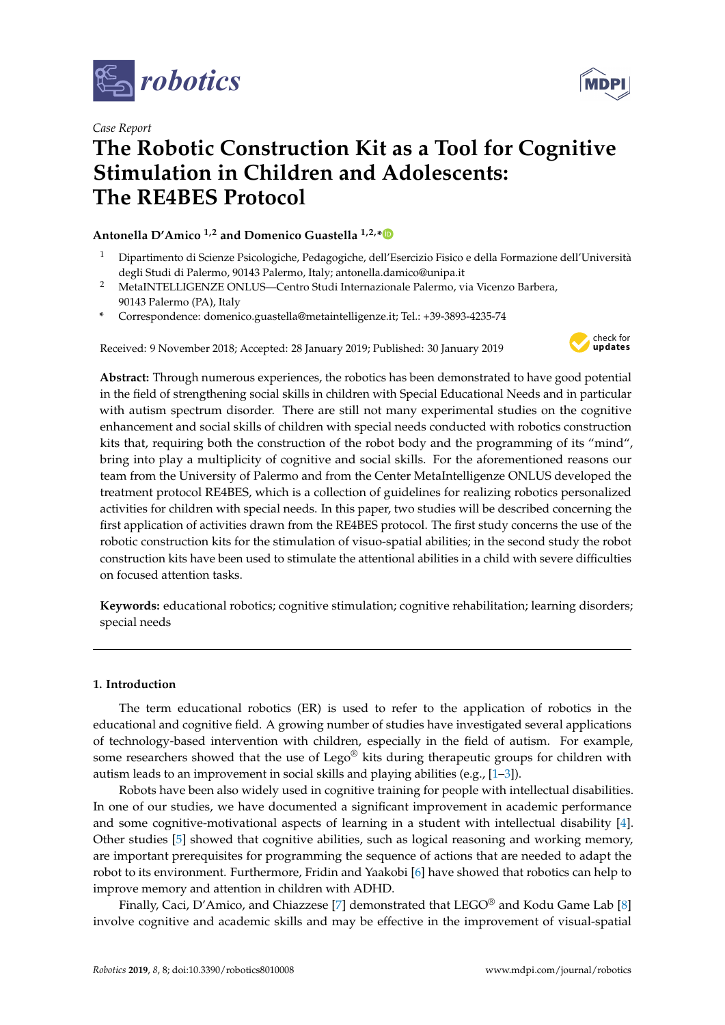

*Case Report*



# **The Robotic Construction Kit as a Tool for Cognitive Stimulation in Children and Adolescents: The RE4BES Protocol**

# **Antonella D'Amico 1,2 and Domenico Guastella 1,2,[\\*](https://orcid.org/0000-0001-6507-2097)**

- <sup>1</sup> Dipartimento di Scienze Psicologiche, Pedagogiche, dell'Esercizio Fisico e della Formazione dell'Università degli Studi di Palermo, 90143 Palermo, Italy; antonella.damico@unipa.it
- <sup>2</sup> MetaINTELLIGENZE ONLUS—Centro Studi Internazionale Palermo, via Vicenzo Barbera, 90143 Palermo (PA), Italy
- **\*** Correspondence: domenico.guastella@metaintelligenze.it; Tel.: +39-3893-4235-74

Received: 9 November 2018; Accepted: 28 January 2019; Published: 30 January 2019



**Abstract:** Through numerous experiences, the robotics has been demonstrated to have good potential in the field of strengthening social skills in children with Special Educational Needs and in particular with autism spectrum disorder. There are still not many experimental studies on the cognitive enhancement and social skills of children with special needs conducted with robotics construction kits that, requiring both the construction of the robot body and the programming of its "mind", bring into play a multiplicity of cognitive and social skills. For the aforementioned reasons our team from the University of Palermo and from the Center MetaIntelligenze ONLUS developed the treatment protocol RE4BES, which is a collection of guidelines for realizing robotics personalized activities for children with special needs. In this paper, two studies will be described concerning the first application of activities drawn from the RE4BES protocol. The first study concerns the use of the robotic construction kits for the stimulation of visuo-spatial abilities; in the second study the robot construction kits have been used to stimulate the attentional abilities in a child with severe difficulties on focused attention tasks.

**Keywords:** educational robotics; cognitive stimulation; cognitive rehabilitation; learning disorders; special needs

# **1. Introduction**

The term educational robotics (ER) is used to refer to the application of robotics in the educational and cognitive field. A growing number of studies have investigated several applications of technology-based intervention with children, especially in the field of autism. For example, some researchers showed that the use of Lego® kits during therapeutic groups for children with autism leads to an improvement in social skills and playing abilities (e.g.,  $[1-3]$  $[1-3]$ ).

Robots have been also widely used in cognitive training for people with intellectual disabilities. In one of our studies, we have documented a significant improvement in academic performance and some cognitive-motivational aspects of learning in a student with intellectual disability [\[4\]](#page-7-2). Other studies [\[5\]](#page-8-0) showed that cognitive abilities, such as logical reasoning and working memory, are important prerequisites for programming the sequence of actions that are needed to adapt the robot to its environment. Furthermore, Fridin and Yaakobi [\[6\]](#page-8-1) have showed that robotics can help to improve memory and attention in children with ADHD.

Finally, Caci, D'Amico, and Chiazzese [\[7\]](#page-8-2) demonstrated that  $LEGO^{\circledast}$  and Kodu Game Lab [\[8\]](#page-8-3) involve cognitive and academic skills and may be effective in the improvement of visual-spatial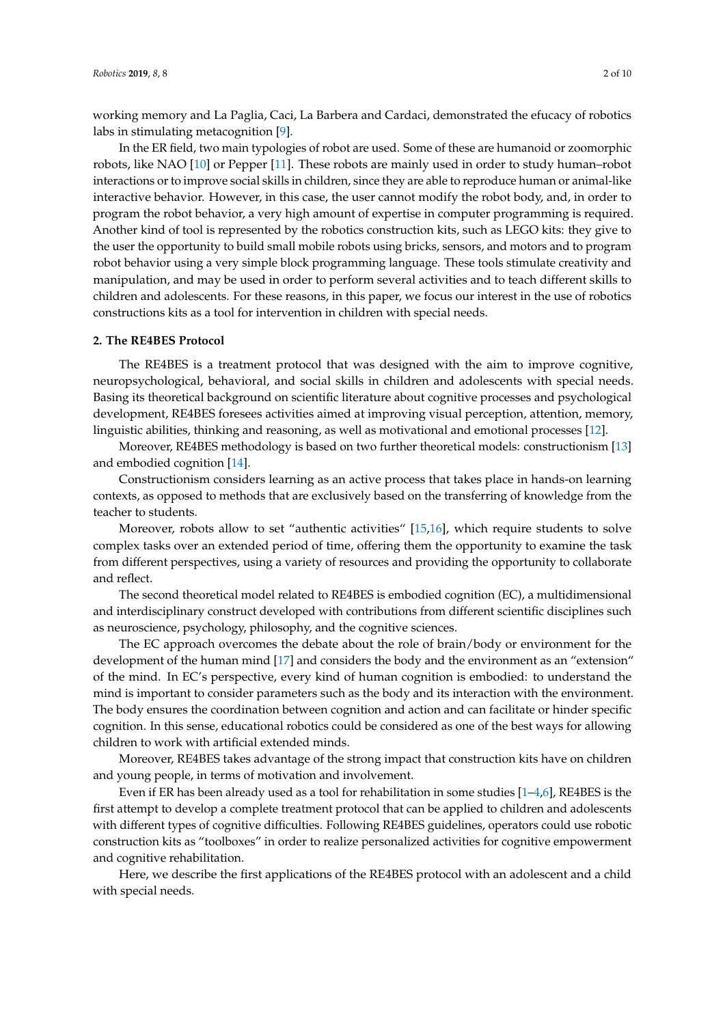working memory and La Paglia, Caci, La Barbera and Cardaci, demonstrated the efucacy of robotics labs in stimulating metacognition [\[9\]](#page-8-4).

In the ER field, two main typologies of robot are used. Some of these are humanoid or zoomorphic robots, like NAO [\[10\]](#page-8-5) or Pepper [\[11\]](#page-8-6). These robots are mainly used in order to study human–robot interactions or to improve social skills in children, since they are able to reproduce human or animal-like interactive behavior. However, in this case, the user cannot modify the robot body, and, in order to program the robot behavior, a very high amount of expertise in computer programming is required. Another kind of tool is represented by the robotics construction kits, such as LEGO kits: they give to the user the opportunity to build small mobile robots using bricks, sensors, and motors and to program robot behavior using a very simple block programming language. These tools stimulate creativity and manipulation, and may be used in order to perform several activities and to teach different skills to children and adolescents. For these reasons, in this paper, we focus our interest in the use of robotics constructions kits as a tool for intervention in children with special needs.

# **2. The RE4BES Protocol**

The RE4BES is a treatment protocol that was designed with the aim to improve cognitive, neuropsychological, behavioral, and social skills in children and adolescents with special needs. Basing its theoretical background on scientific literature about cognitive processes and psychological development, RE4BES foresees activities aimed at improving visual perception, attention, memory, linguistic abilities, thinking and reasoning, as well as motivational and emotional processes [\[12\]](#page-8-7).

Moreover, RE4BES methodology is based on two further theoretical models: constructionism [\[13\]](#page-8-8) and embodied cognition [\[14\]](#page-8-9).

Constructionism considers learning as an active process that takes place in hands-on learning contexts, as opposed to methods that are exclusively based on the transferring of knowledge from the teacher to students.

Moreover, robots allow to set "authentic activities" [\[15](#page-8-10)[,16\]](#page-8-11), which require students to solve complex tasks over an extended period of time, offering them the opportunity to examine the task from different perspectives, using a variety of resources and providing the opportunity to collaborate and reflect.

The second theoretical model related to RE4BES is embodied cognition (EC), a multidimensional and interdisciplinary construct developed with contributions from different scientific disciplines such as neuroscience, psychology, philosophy, and the cognitive sciences.

The EC approach overcomes the debate about the role of brain/body or environment for the development of the human mind [\[17\]](#page-8-12) and considers the body and the environment as an "extension" of the mind. In EC's perspective, every kind of human cognition is embodied: to understand the mind is important to consider parameters such as the body and its interaction with the environment. The body ensures the coordination between cognition and action and can facilitate or hinder specific cognition. In this sense, educational robotics could be considered as one of the best ways for allowing children to work with artificial extended minds.

Moreover, RE4BES takes advantage of the strong impact that construction kits have on children and young people, in terms of motivation and involvement.

Even if ER has been already used as a tool for rehabilitation in some studies [\[1](#page-7-0)[–4](#page-7-2)[,6\]](#page-8-1), RE4BES is the first attempt to develop a complete treatment protocol that can be applied to children and adolescents with different types of cognitive difficulties. Following RE4BES guidelines, operators could use robotic construction kits as "toolboxes" in order to realize personalized activities for cognitive empowerment and cognitive rehabilitation.

Here, we describe the first applications of the RE4BES protocol with an adolescent and a child with special needs.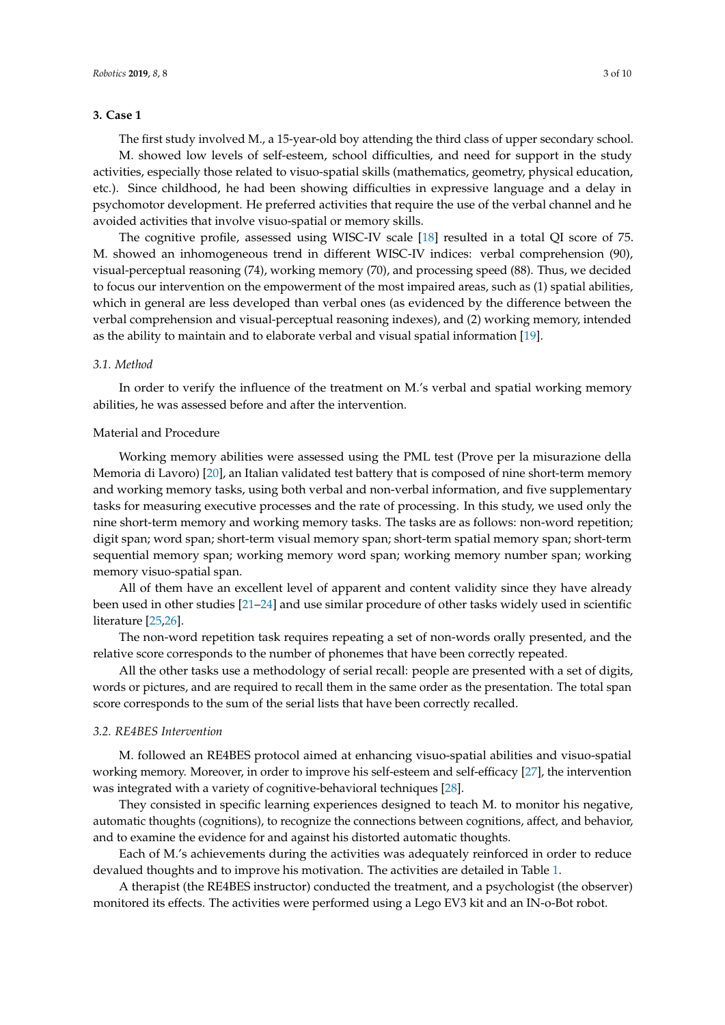# **3. Case 1**

The first study involved M., a 15-year-old boy attending the third class of upper secondary school. M. showed low levels of self-esteem, school difficulties, and need for support in the study activities, especially those related to visuo-spatial skills (mathematics, geometry, physical education, etc.). Since childhood, he had been showing difficulties in expressive language and a delay in psychomotor development. He preferred activities that require the use of the verbal channel and he avoided activities that involve visuo-spatial or memory skills.

The cognitive profile, assessed using WISC-IV scale [\[18\]](#page-8-13) resulted in a total QI score of 75. M. showed an inhomogeneous trend in different WISC-IV indices: verbal comprehension (90), visual-perceptual reasoning (74), working memory (70), and processing speed (88). Thus, we decided to focus our intervention on the empowerment of the most impaired areas, such as (1) spatial abilities, which in general are less developed than verbal ones (as evidenced by the difference between the verbal comprehension and visual-perceptual reasoning indexes), and (2) working memory, intended as the ability to maintain and to elaborate verbal and visual spatial information [\[19\]](#page-8-14).

# *3.1. Method*

In order to verify the influence of the treatment on M.'s verbal and spatial working memory abilities, he was assessed before and after the intervention.

# Material and Procedure

Working memory abilities were assessed using the PML test (Prove per la misurazione della Memoria di Lavoro) [\[20\]](#page-8-15), an Italian validated test battery that is composed of nine short-term memory and working memory tasks, using both verbal and non-verbal information, and five supplementary tasks for measuring executive processes and the rate of processing. In this study, we used only the nine short-term memory and working memory tasks. The tasks are as follows: non-word repetition; digit span; word span; short-term visual memory span; short-term spatial memory span; short-term sequential memory span; working memory word span; working memory number span; working memory visuo-spatial span.

All of them have an excellent level of apparent and content validity since they have already been used in other studies [\[21–](#page-8-16)[24\]](#page-8-17) and use similar procedure of other tasks widely used in scientific literature [\[25](#page-8-18)[,26\]](#page-8-19).

The non-word repetition task requires repeating a set of non-words orally presented, and the relative score corresponds to the number of phonemes that have been correctly repeated.

All the other tasks use a methodology of serial recall: people are presented with a set of digits, words or pictures, and are required to recall them in the same order as the presentation. The total span score corresponds to the sum of the serial lists that have been correctly recalled.

## *3.2. RE4BES Intervention*

M. followed an RE4BES protocol aimed at enhancing visuo-spatial abilities and visuo-spatial working memory. Moreover, in order to improve his self-esteem and self-efficacy [\[27\]](#page-8-20), the intervention was integrated with a variety of cognitive-behavioral techniques [\[28\]](#page-8-21).

They consisted in specific learning experiences designed to teach M. to monitor his negative, automatic thoughts (cognitions), to recognize the connections between cognitions, affect, and behavior, and to examine the evidence for and against his distorted automatic thoughts.

Each of M.'s achievements during the activities was adequately reinforced in order to reduce devalued thoughts and to improve his motivation. The activities are detailed in Table [1.](#page-3-0)

A therapist (the RE4BES instructor) conducted the treatment, and a psychologist (the observer) monitored its effects. The activities were performed using a Lego EV3 kit and an IN-o-Bot robot.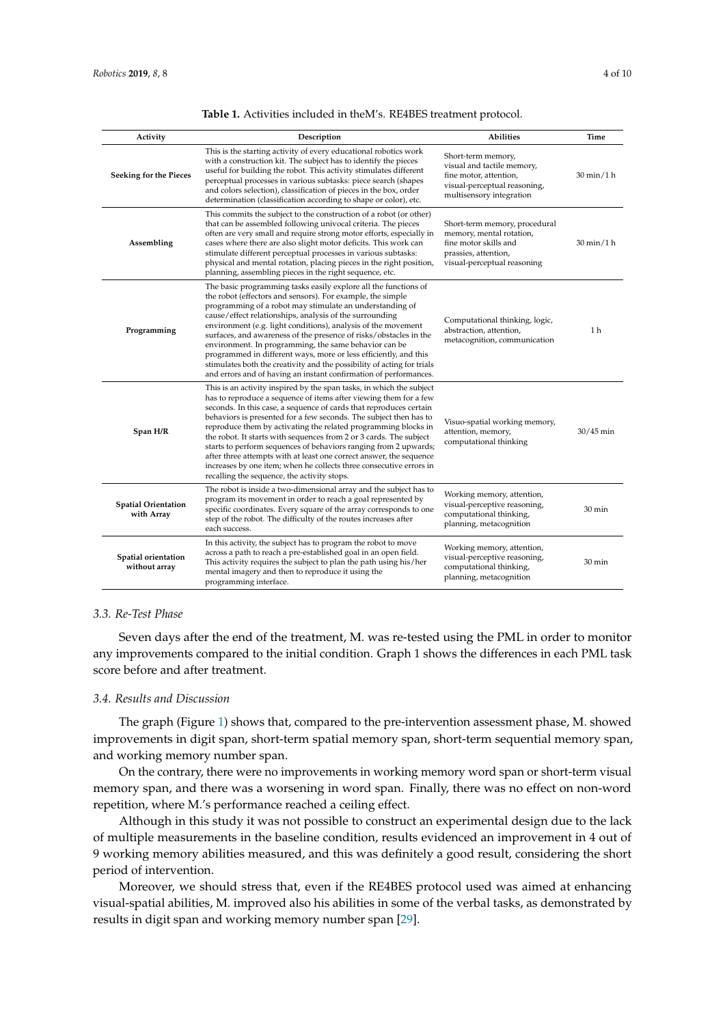<span id="page-3-0"></span>

| Activity                                 | Description                                                                                                                                                                                                                                                                                                                                                                                                                                                                                                                                                                                                                                                                                   | <b>Abilities</b>                                                                                                                          | Time                         |
|------------------------------------------|-----------------------------------------------------------------------------------------------------------------------------------------------------------------------------------------------------------------------------------------------------------------------------------------------------------------------------------------------------------------------------------------------------------------------------------------------------------------------------------------------------------------------------------------------------------------------------------------------------------------------------------------------------------------------------------------------|-------------------------------------------------------------------------------------------------------------------------------------------|------------------------------|
| Seeking for the Pieces                   | This is the starting activity of every educational robotics work<br>with a construction kit. The subject has to identify the pieces<br>useful for building the robot. This activity stimulates different<br>perceptual processes in various subtasks: piece search (shapes<br>and colors selection), classification of pieces in the box, order<br>determination (classification according to shape or color), etc.                                                                                                                                                                                                                                                                           | Short-term memory,<br>visual and tactile memory,<br>fine motor, attention,<br>visual-perceptual reasoning,<br>multisensory integration    | $30 \text{ min}/1 \text{ h}$ |
| Assembling                               | This commits the subject to the construction of a robot (or other)<br>that can be assembled following univocal criteria. The pieces<br>often are very small and require strong motor efforts, especially in<br>cases where there are also slight motor deficits. This work can<br>stimulate different perceptual processes in various subtasks:<br>physical and mental rotation, placing pieces in the right position,<br>planning, assembling pieces in the right sequence, etc.                                                                                                                                                                                                             | Short-term memory, procedural<br>memory, mental rotation,<br>fine motor skills and<br>prassies, attention,<br>visual-perceptual reasoning | $30 \text{ min}/1 \text{ h}$ |
| Programming                              | The basic programming tasks easily explore all the functions of<br>the robot (effectors and sensors). For example, the simple<br>programming of a robot may stimulate an understanding of<br>cause/effect relationships, analysis of the surrounding<br>environment (e.g. light conditions), analysis of the movement<br>surfaces, and awareness of the presence of risks/obstacles in the<br>environment. In programming, the same behavior can be<br>programmed in different ways, more or less efficiently, and this<br>stimulates both the creativity and the possibility of acting for trials<br>and errors and of having an instant confirmation of performances.                       | Computational thinking, logic,<br>abstraction, attention,<br>metacognition, communication                                                 | 1 h                          |
| Span H/R                                 | This is an activity inspired by the span tasks, in which the subject<br>has to reproduce a sequence of items after viewing them for a few<br>seconds. In this case, a sequence of cards that reproduces certain<br>behaviors is presented for a few seconds. The subject then has to<br>reproduce them by activating the related programming blocks in<br>the robot. It starts with sequences from 2 or 3 cards. The subject<br>starts to perform sequences of behaviors ranging from 2 upwards;<br>after three attempts with at least one correct answer, the sequence<br>increases by one item; when he collects three consecutive errors in<br>recalling the sequence, the activity stops. | Visuo-spatial working memory,<br>attention, memory,<br>computational thinking                                                             | $30/45$ min                  |
| <b>Spatial Orientation</b><br>with Array | The robot is inside a two-dimensional array and the subject has to<br>program its movement in order to reach a goal represented by<br>specific coordinates. Every square of the array corresponds to one<br>step of the robot. The difficulty of the routes increases after<br>each success.                                                                                                                                                                                                                                                                                                                                                                                                  | Working memory, attention,<br>visual-perceptive reasoning,<br>computational thinking,<br>planning, metacognition                          | $30 \text{ min}$             |
| Spatial orientation<br>without array     | In this activity, the subject has to program the robot to move<br>across a path to reach a pre-established goal in an open field.<br>This activity requires the subject to plan the path using his/her<br>mental imagery and then to reproduce it using the<br>programming interface.                                                                                                                                                                                                                                                                                                                                                                                                         | Working memory, attention,<br>visual-perceptive reasoning,<br>computational thinking,<br>planning, metacognition                          | 30 min                       |

| Table 1. Activities included in theM's. RE4BES treatment protocol. |
|--------------------------------------------------------------------|
|--------------------------------------------------------------------|

# *3.3. Re-Test Phase*

Seven days after the end of the treatment, M. was re-tested using the PML in order to monitor any improvements compared to the initial condition. Graph 1 shows the differences in each PML task score before and after treatment.

# *3.4. Results and Discussion*

The graph (Figure [1\)](#page-4-0) shows that, compared to the pre-intervention assessment phase, M. showed improvements in digit span, short-term spatial memory span, short-term sequential memory span, and working memory number span.

On the contrary, there were no improvements in working memory word span or short-term visual memory span, and there was a worsening in word span. Finally, there was no effect on non-word repetition, where M.'s performance reached a ceiling effect.

Although in this study it was not possible to construct an experimental design due to the lack of multiple measurements in the baseline condition, results evidenced an improvement in 4 out of 9 working memory abilities measured, and this was definitely a good result, considering the short period of intervention.

Moreover, we should stress that, even if the RE4BES protocol used was aimed at enhancing visual-spatial abilities, M. improved also his abilities in some of the verbal tasks, as demonstrated by results in digit span and working memory number span [\[29\]](#page-8-22).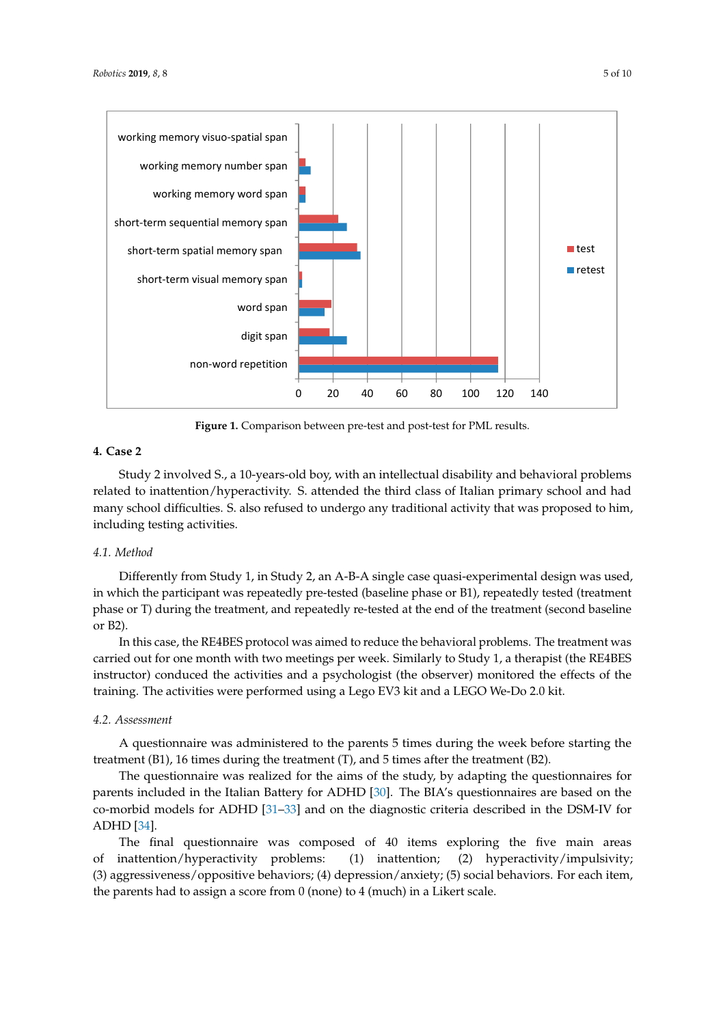<span id="page-4-0"></span>

**Figure 1.** Comparison between pre-test and post-test for PML results. **Figure 1.** Comparison between pre-test and post-test for PML results.

# *3.4. Results and Discussion*  **4. Case 2**

Study 2 involved S., a 10-years-old boy, with an intellectual disability and behavioral problems related to inattention/hyperactivity. S. attended the third class of Italian primary school and had many school difficulties. S. also refused to undergo any traditional activity that was proposed to him, including testing activities.  $\blacksquare$ 

#### non-word repetition, where  $\alpha$  is performance reached a ceiling effect. Whenever, where  $\alpha$  ceiling effects is a ceiling effect. *4.1. Method*

Differently from Study 1, in Study 2, an A-B-A single case quasi-experimental design was used, in which the participant was repeatedly pre-tested (baseline phase or B1), repeatedly tested (treatment phase or T) during the treatment, and repeatedly re-tested at the end of the treatment (second baseline  $\frac{1}{\pi}$  or B2).

.<br>In this case, the RE4BES protocol was aimed to reduce the behavioral problems. The treatment was carried out for one month with two meetings per week. Similarly to Study 1, a therapist (the RE4BES instructor) conduced the activities and a psychologist (the observer) monitored the effects of the **4. Case 2**  training. The activities were performed using a Lego EV3 kit and a LEGO We-Do 2.0 kit.

#### $s$ essment $s$ *4.2. Assessment*

A questionnaire was administered to the parents 5 times during the week before starting the treatment (B1), 16 times during the treatment (T), and 5 times after the treatment (B2).

The questionnaire was realized for the aims of the study, by adapting the questionnaires for parents included in the Italian Battery for ADHD [\[30\]](#page-9-0). The BIA's questionnaires are based on the  $\sqrt{1341}$ co-morbid models for ADHD [\[31–](#page-9-1)[33\]](#page-9-2) and on the diagnostic criteria described in the DSM-IV for ADHD [\[34\]](#page-9-3).

The final questionnaire was composed of 40 items exploring the five main areas of inattention/hyperactivity problems: (1) inattention; (2) hyperactivity/impulsivity; (3) aggressiveness/oppositive behaviors; (4) depression/anxiety; (5) social behaviors. For each item, the parents had to assign a score from 0 (none) to 4 (much) in a Likert scale.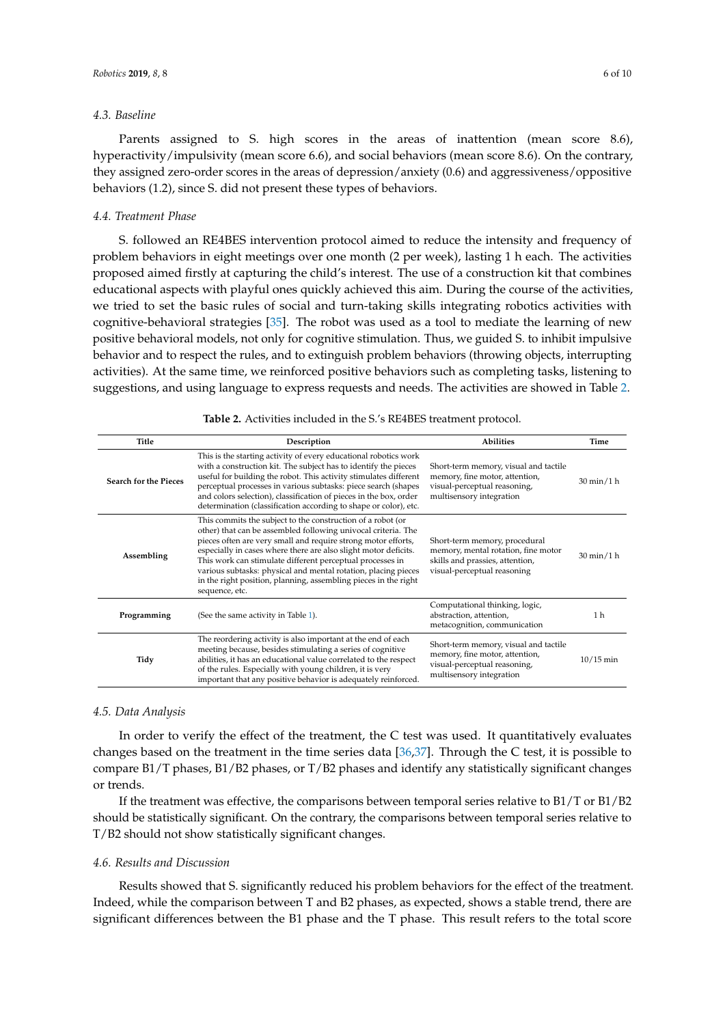# *4.3. Baseline*

Parents assigned to S. high scores in the areas of inattention (mean score 8.6), hyperactivity/impulsivity (mean score 6.6), and social behaviors (mean score 8.6). On the contrary, they assigned zero-order scores in the areas of depression/anxiety (0.6) and aggressiveness/oppositive behaviors (1.2), since S. did not present these types of behaviors.

### *4.4. Treatment Phase*

S. followed an RE4BES intervention protocol aimed to reduce the intensity and frequency of problem behaviors in eight meetings over one month (2 per week), lasting 1 h each. The activities proposed aimed firstly at capturing the child's interest. The use of a construction kit that combines educational aspects with playful ones quickly achieved this aim. During the course of the activities, we tried to set the basic rules of social and turn-taking skills integrating robotics activities with cognitive-behavioral strategies [\[35\]](#page-9-4). The robot was used as a tool to mediate the learning of new positive behavioral models, not only for cognitive stimulation. Thus, we guided S. to inhibit impulsive behavior and to respect the rules, and to extinguish problem behaviors (throwing objects, interrupting activities). At the same time, we reinforced positive behaviors such as completing tasks, listening to suggestions, and using language to express requests and needs. The activities are showed in Table [2.](#page-5-0)

<span id="page-5-0"></span>

| Title                 | Description                                                                                                                                                                                                                                                                                                                                                                                                                                                                          | <b>Abilities</b>                                                                                                                       | Time                         |
|-----------------------|--------------------------------------------------------------------------------------------------------------------------------------------------------------------------------------------------------------------------------------------------------------------------------------------------------------------------------------------------------------------------------------------------------------------------------------------------------------------------------------|----------------------------------------------------------------------------------------------------------------------------------------|------------------------------|
| Search for the Pieces | This is the starting activity of every educational robotics work<br>with a construction kit. The subject has to identify the pieces<br>useful for building the robot. This activity stimulates different<br>perceptual processes in various subtasks: piece search (shapes<br>and colors selection), classification of pieces in the box, order<br>determination (classification according to shape or color), etc.                                                                  | Short-term memory, visual and tactile<br>memory, fine motor, attention,<br>visual-perceptual reasoning,<br>multisensory integration    | $30 \text{ min}/1 \text{ h}$ |
| Assembling            | This commits the subject to the construction of a robot (or<br>other) that can be assembled following univocal criteria. The<br>pieces often are very small and require strong motor efforts,<br>especially in cases where there are also slight motor deficits.<br>This work can stimulate different perceptual processes in<br>various subtasks: physical and mental rotation, placing pieces<br>in the right position, planning, assembling pieces in the right<br>sequence, etc. | Short-term memory, procedural<br>memory, mental rotation, fine motor<br>skills and prassies, attention,<br>visual-perceptual reasoning | $30 \text{ min}/1 \text{ h}$ |
| Programming           | (See the same activity in Table 1).                                                                                                                                                                                                                                                                                                                                                                                                                                                  | Computational thinking, logic,<br>abstraction, attention,<br>metacognition, communication                                              | 1 <sub>h</sub>               |
| Tidy                  | The reordering activity is also important at the end of each<br>meeting because, besides stimulating a series of cognitive<br>abilities, it has an educational value correlated to the respect<br>of the rules. Especially with young children, it is very<br>important that any positive behavior is adequately reinforced.                                                                                                                                                         | Short-term memory, visual and tactile<br>memory, fine motor, attention,<br>visual-perceptual reasoning,<br>multisensory integration    | $10/15$ min                  |

**Table 2.** Activities included in the S.'s RE4BES treatment protocol.

# *4.5. Data Analysis*

In order to verify the effect of the treatment, the C test was used. It quantitatively evaluates changes based on the treatment in the time series data [\[36,](#page-9-5)[37\]](#page-9-6). Through the C test, it is possible to compare B1/T phases, B1/B2 phases, or T/B2 phases and identify any statistically significant changes or trends.

If the treatment was effective, the comparisons between temporal series relative to B1/T or B1/B2 should be statistically significant. On the contrary, the comparisons between temporal series relative to T/B2 should not show statistically significant changes.

# *4.6. Results and Discussion*

Results showed that S. significantly reduced his problem behaviors for the effect of the treatment. Indeed, while the comparison between T and B2 phases, as expected, shows a stable trend, there are significant differences between the B1 phase and the T phase. This result refers to the total score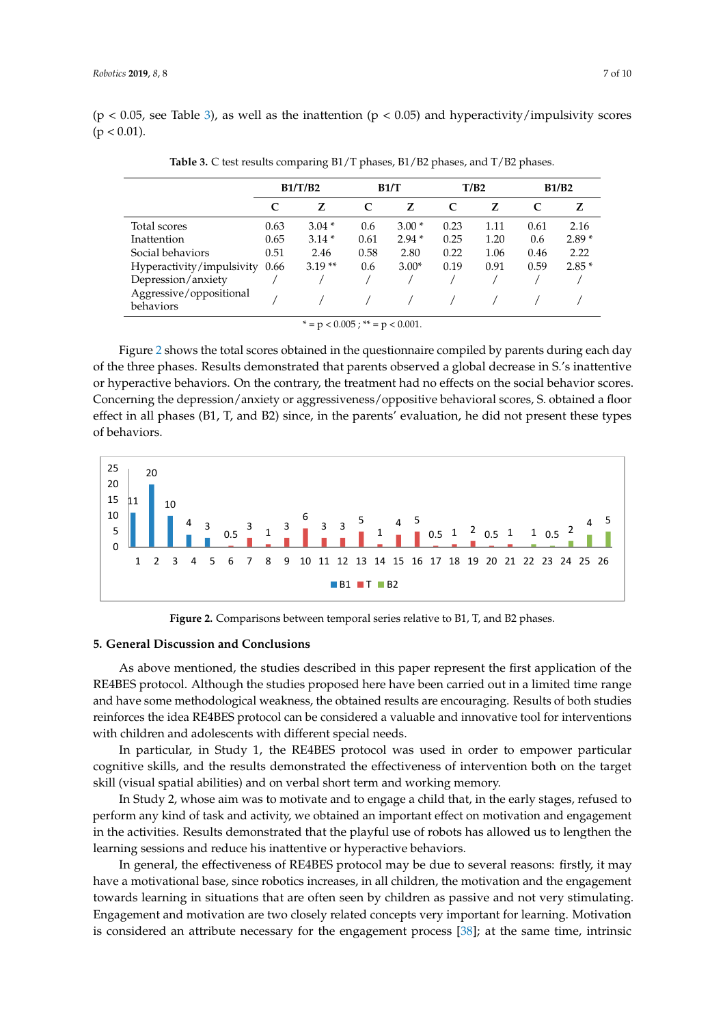<span id="page-6-0"></span>(p < 0.05, see Table [3\)](#page-6-0), as well as the inattention (p < 0.05) and hyperactivity/impulsivity scores  $(p < 0.01)$ .

|                                      | B1/T/B2 |          | B1/T |         | T/B2 |      | B1/B2 |         |  |  |
|--------------------------------------|---------|----------|------|---------|------|------|-------|---------|--|--|
|                                      | C       | Z        | C    | Z       | C    | Z    |       | Z       |  |  |
| Total scores                         | 0.63    | $3.04*$  | 0.6  | $3.00*$ | 0.23 | 1.11 | 0.61  | 2.16    |  |  |
| Inattention                          | 0.65    | $3.14*$  | 0.61 | $2.94*$ | 0.25 | 1.20 | 0.6   | $2.89*$ |  |  |
| Social behaviors                     | 0.51    | 2.46     | 0.58 | 2.80    | 0.22 | 1.06 | 0.46  | 2.22    |  |  |
| Hyperactivity/impulsivity            | 0.66    | $3.19**$ | 0.6  | $3.00*$ | 0.19 | 0.91 | 0.59  | $2.85*$ |  |  |
| Depression/anxiety                   |         |          |      |         |      |      |       |         |  |  |
| Aggressive/oppositional<br>behaviors |         |          |      |         |      |      |       |         |  |  |
| $* = p < 0.005$ ; $** = p < 0.001$ . |         |          |      |         |      |      |       |         |  |  |

**Table 3.** C test results comparing B1/T phases, B1/B2 phases, and T/B2 phases.

Figure [2](#page-6-1) shows the total scores obtained in the questionnaire compiled by parents during each day of the three phases. Results demonstrated that parents observed a global decrease in S.'s inattentive or hyperactive behaviors. On the contrary, the treatment had no effects on the social behavior scores. Concerning the depression/anxiety or aggressiveness/oppositive behavioral scores, S. obtained a floor effect in all phases (B1, T, and B2) since, in the parents' evaluation, he did not present these types of behaviors. *Robotics Property 2018***</del>** 

<span id="page-6-1"></span>

**Figure 2.** Comparisons between temporal series relative to B1, T, and B2 phases. **Figure 2.** Comparisons between temporal series relative to B1, T, and B2 phases.

# **5. General Discussion and Conclusions 5. General Discussion and Conclusions**

As above mentioned, the studies described in this paper represent the first application of the As above mentioned, the studies described in this paper represent the first application of the RE4BES protocol. Although the studies proposed here have been carried out in a limited time range RE4BES protocol. Although the studies proposed here have been carried out in a limited time range and have some methodological weakness, the obtained results are encouraging. Results of both and have some methodological weakness, the obtained results are encouraging. Results of both studies  $\frac{1}{2}$ studies reinforces the idea RE4BES protocol can be considered a value of  $\frac{1}{2}$  for  $\frac{1}{2}$  for  $\frac{1}{2}$  for  $\frac{1}{2}$  for  $\frac{1}{2}$  for  $\frac{1}{2}$  for  $\frac{1}{2}$  for  $\frac{1}{2}$  for  $\frac{1}{2}$  for  $\frac{1}{2}$  for reinforces the idea RE4BES protocol can be considered a valuable and innovative tool for interventions with children and adolescents with different special needs.

In particular, in Study 1, the RE4BES protocol was used in order to empower particular cognitive skills, and the results demonstrated the effectiveness of intervention both on the target skill (visual spatial abilities) and on verbal short term and working memory.

In Study 2, whose aim was to motivate and to engage a child that, in the early stages, refused to perform any kind of task and activity, we obtained an important effect on motivation and engagement in the activities. Results demonstrated that the playful use of robots has allowed us to lengthen the learning sessions and reduce his inattentive or hyperactive behaviors.

 $\frac{1}{\sqrt{1-\frac{1}{\sqrt{1-\frac{1}{\sqrt{1-\frac{1}{\sqrt{1-\frac{1}{\sqrt{1-\frac{1}{\sqrt{1-\frac{1}{\sqrt{1-\frac{1}{\sqrt{1-\frac{1}{\sqrt{1-\frac{1}{\sqrt{1-\frac{1}{\sqrt{1-\frac{1}{\sqrt{1-\frac{1}{\sqrt{1-\frac{1}{\sqrt{1-\frac{1}{\sqrt{1-\frac{1}{\sqrt{1-\frac{1}{\sqrt{1-\frac{1}{\sqrt{1-\frac{1}{\sqrt{1-\frac{1}{\sqrt{1-\frac{1}{\sqrt{1-\frac{1}{\sqrt{1-\frac{1}{\sqrt{1-\frac{1}{\sqrt{1-\frac{1$ In general, the effectiveness of RE4BES protocol may be due to several reasons: firstly, it may have a motivational base, since robotics increases, in all children, the motivation and the engagement towards learning in situations that are often seen by children as passive and not very stimulating. Engagement and motivation are two closely related concepts very important for learning. Motivation is considered an attribute necessary for the engagement process [\[38\]](#page-9-7); at the same time, intrinsic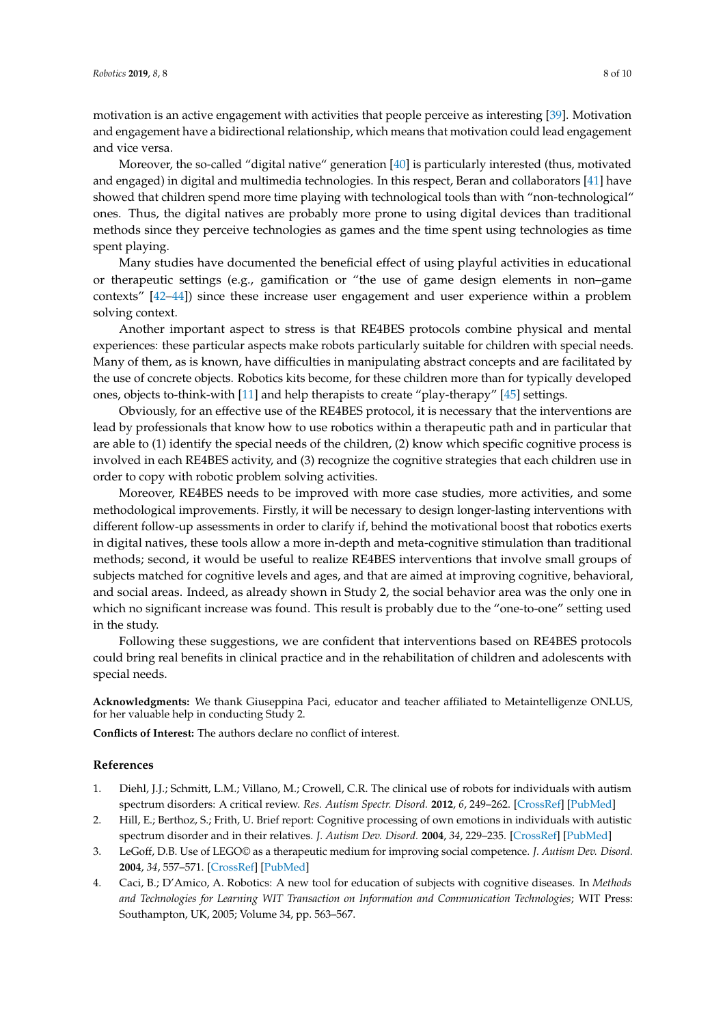motivation is an active engagement with activities that people perceive as interesting [\[39\]](#page-9-8). Motivation and engagement have a bidirectional relationship, which means that motivation could lead engagement and vice versa.

Moreover, the so-called "digital native" generation [\[40\]](#page-9-9) is particularly interested (thus, motivated and engaged) in digital and multimedia technologies. In this respect, Beran and collaborators [\[41\]](#page-9-10) have showed that children spend more time playing with technological tools than with "non-technological" ones. Thus, the digital natives are probably more prone to using digital devices than traditional methods since they perceive technologies as games and the time spent using technologies as time spent playing.

Many studies have documented the beneficial effect of using playful activities in educational or therapeutic settings (e.g., gamification or "the use of game design elements in non–game contexts" [\[42](#page-9-11)[–44\]](#page-9-12)) since these increase user engagement and user experience within a problem solving context.

Another important aspect to stress is that RE4BES protocols combine physical and mental experiences: these particular aspects make robots particularly suitable for children with special needs. Many of them, as is known, have difficulties in manipulating abstract concepts and are facilitated by the use of concrete objects. Robotics kits become, for these children more than for typically developed ones, objects to-think-with [\[11\]](#page-8-6) and help therapists to create "play-therapy" [\[45\]](#page-9-13) settings.

Obviously, for an effective use of the RE4BES protocol, it is necessary that the interventions are lead by professionals that know how to use robotics within a therapeutic path and in particular that are able to (1) identify the special needs of the children, (2) know which specific cognitive process is involved in each RE4BES activity, and (3) recognize the cognitive strategies that each children use in order to copy with robotic problem solving activities.

Moreover, RE4BES needs to be improved with more case studies, more activities, and some methodological improvements. Firstly, it will be necessary to design longer-lasting interventions with different follow-up assessments in order to clarify if, behind the motivational boost that robotics exerts in digital natives, these tools allow a more in-depth and meta-cognitive stimulation than traditional methods; second, it would be useful to realize RE4BES interventions that involve small groups of subjects matched for cognitive levels and ages, and that are aimed at improving cognitive, behavioral, and social areas. Indeed, as already shown in Study 2, the social behavior area was the only one in which no significant increase was found. This result is probably due to the "one-to-one" setting used in the study.

Following these suggestions, we are confident that interventions based on RE4BES protocols could bring real benefits in clinical practice and in the rehabilitation of children and adolescents with special needs.

**Acknowledgments:** We thank Giuseppina Paci, educator and teacher affiliated to Metaintelligenze ONLUS, for her valuable help in conducting Study 2.

**Conflicts of Interest:** The authors declare no conflict of interest.

# **References**

- <span id="page-7-0"></span>1. Diehl, J.J.; Schmitt, L.M.; Villano, M.; Crowell, C.R. The clinical use of robots for individuals with autism spectrum disorders: A critical review. *Res. Autism Spectr. Disord.* **2012**, *6*, 249–262. [\[CrossRef\]](http://dx.doi.org/10.1016/j.rasd.2011.05.006) [\[PubMed\]](http://www.ncbi.nlm.nih.gov/pubmed/22125579)
- 2. Hill, E.; Berthoz, S.; Frith, U. Brief report: Cognitive processing of own emotions in individuals with autistic spectrum disorder and in their relatives. *J. Autism Dev. Disord.* **2004**, *34*, 229–235. [\[CrossRef\]](http://dx.doi.org/10.1023/B:JADD.0000022613.41399.14) [\[PubMed\]](http://www.ncbi.nlm.nih.gov/pubmed/15162941)
- <span id="page-7-1"></span>3. LeGoff, D.B. Use of LEGO© as a therapeutic medium for improving social competence. *J. Autism Dev. Disord.* **2004**, *34*, 557–571. [\[CrossRef\]](http://dx.doi.org/10.1007/s10803-004-2550-0) [\[PubMed\]](http://www.ncbi.nlm.nih.gov/pubmed/15628609)
- <span id="page-7-2"></span>4. Caci, B.; D'Amico, A. Robotics: A new tool for education of subjects with cognitive diseases. In *Methods and Technologies for Learning WIT Transaction on Information and Communication Technologies*; WIT Press: Southampton, UK, 2005; Volume 34, pp. 563–567.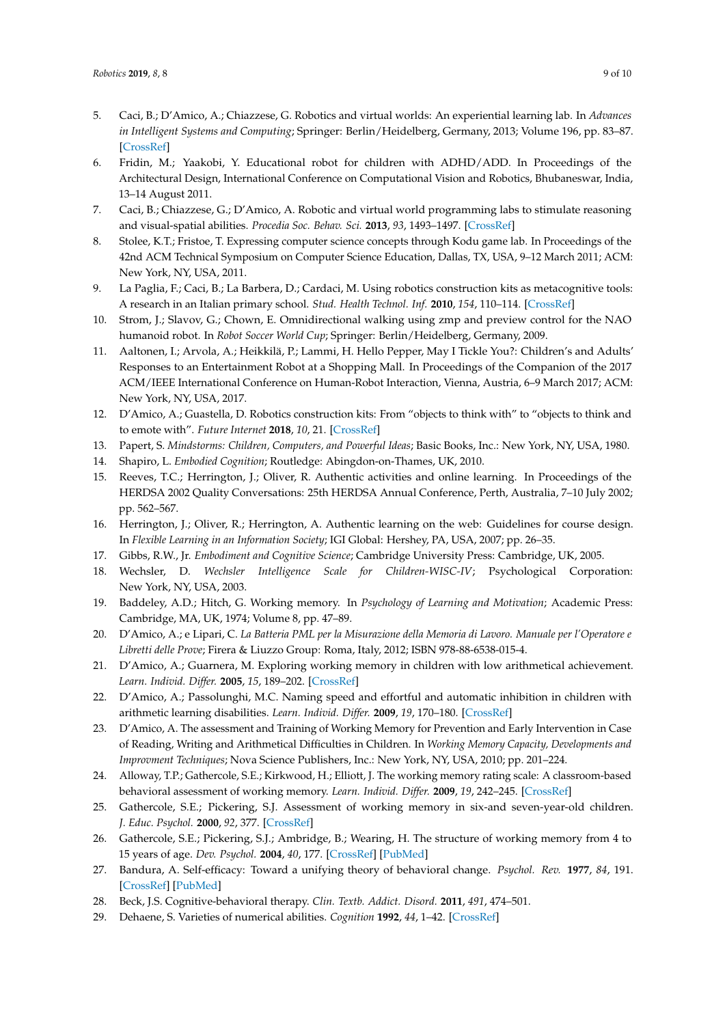- <span id="page-8-0"></span>5. Caci, B.; D'Amico, A.; Chiazzese, G. Robotics and virtual worlds: An experiential learning lab. In *Advances in Intelligent Systems and Computing*; Springer: Berlin/Heidelberg, Germany, 2013; Volume 196, pp. 83–87. [\[CrossRef\]](http://dx.doi.org/10.1007/978-3-642-34274-5_19)
- <span id="page-8-1"></span>6. Fridin, M.; Yaakobi, Y. Educational robot for children with ADHD/ADD. In Proceedings of the Architectural Design, International Conference on Computational Vision and Robotics, Bhubaneswar, India, 13–14 August 2011.
- <span id="page-8-2"></span>7. Caci, B.; Chiazzese, G.; D'Amico, A. Robotic and virtual world programming labs to stimulate reasoning and visual-spatial abilities. *Procedia Soc. Behav. Sci.* **2013**, *93*, 1493–1497. [\[CrossRef\]](http://dx.doi.org/10.1016/j.sbspro.2013.10.070)
- <span id="page-8-3"></span>8. Stolee, K.T.; Fristoe, T. Expressing computer science concepts through Kodu game lab. In Proceedings of the 42nd ACM Technical Symposium on Computer Science Education, Dallas, TX, USA, 9–12 March 2011; ACM: New York, NY, USA, 2011.
- <span id="page-8-4"></span>9. La Paglia, F.; Caci, B.; La Barbera, D.; Cardaci, M. Using robotics construction kits as metacognitive tools: A research in an Italian primary school. *Stud. Health Technol. Inf.* **2010**, *154*, 110–114. [\[CrossRef\]](http://dx.doi.org/10.3233/978-1-60750-561-7-110)
- <span id="page-8-5"></span>10. Strom, J.; Slavov, G.; Chown, E. Omnidirectional walking using zmp and preview control for the NAO humanoid robot. In *Robot Soccer World Cup*; Springer: Berlin/Heidelberg, Germany, 2009.
- <span id="page-8-6"></span>11. Aaltonen, I.; Arvola, A.; Heikkilä, P.; Lammi, H. Hello Pepper, May I Tickle You?: Children's and Adults' Responses to an Entertainment Robot at a Shopping Mall. In Proceedings of the Companion of the 2017 ACM/IEEE International Conference on Human-Robot Interaction, Vienna, Austria, 6–9 March 2017; ACM: New York, NY, USA, 2017.
- <span id="page-8-7"></span>12. D'Amico, A.; Guastella, D. Robotics construction kits: From "objects to think with" to "objects to think and to emote with". *Future Internet* **2018**, *10*, 21. [\[CrossRef\]](http://dx.doi.org/10.3390/fi10020021)
- <span id="page-8-8"></span>13. Papert, S. *Mindstorms: Children, Computers, and Powerful Ideas*; Basic Books, Inc.: New York, NY, USA, 1980.
- <span id="page-8-9"></span>14. Shapiro, L. *Embodied Cognition*; Routledge: Abingdon-on-Thames, UK, 2010.
- <span id="page-8-10"></span>15. Reeves, T.C.; Herrington, J.; Oliver, R. Authentic activities and online learning. In Proceedings of the HERDSA 2002 Quality Conversations: 25th HERDSA Annual Conference, Perth, Australia, 7–10 July 2002; pp. 562–567.
- <span id="page-8-11"></span>16. Herrington, J.; Oliver, R.; Herrington, A. Authentic learning on the web: Guidelines for course design. In *Flexible Learning in an Information Society*; IGI Global: Hershey, PA, USA, 2007; pp. 26–35.
- <span id="page-8-12"></span>17. Gibbs, R.W., Jr. *Embodiment and Cognitive Science*; Cambridge University Press: Cambridge, UK, 2005.
- <span id="page-8-13"></span>18. Wechsler, D. *Wechsler Intelligence Scale for Children-WISC-IV*; Psychological Corporation: New York, NY, USA, 2003.
- <span id="page-8-14"></span>19. Baddeley, A.D.; Hitch, G. Working memory. In *Psychology of Learning and Motivation*; Academic Press: Cambridge, MA, UK, 1974; Volume 8, pp. 47–89.
- <span id="page-8-15"></span>20. D'Amico, A.; e Lipari, C. *La Batteria PML per la Misurazione della Memoria di Lavoro. Manuale per l'Operatore e Libretti delle Prove*; Firera & Liuzzo Group: Roma, Italy, 2012; ISBN 978-88-6538-015-4.
- <span id="page-8-16"></span>21. D'Amico, A.; Guarnera, M. Exploring working memory in children with low arithmetical achievement. *Learn. Individ. Differ.* **2005**, *15*, 189–202. [\[CrossRef\]](http://dx.doi.org/10.1016/j.lindif.2005.01.002)
- 22. D'Amico, A.; Passolunghi, M.C. Naming speed and effortful and automatic inhibition in children with arithmetic learning disabilities. *Learn. Individ. Differ.* **2009**, *19*, 170–180. [\[CrossRef\]](http://dx.doi.org/10.1016/j.lindif.2009.01.001)
- 23. D'Amico, A. The assessment and Training of Working Memory for Prevention and Early Intervention in Case of Reading, Writing and Arithmetical Difficulties in Children. In *Working Memory Capacity, Developments and Improvment Techniques*; Nova Science Publishers, Inc.: New York, NY, USA, 2010; pp. 201–224.
- <span id="page-8-17"></span>24. Alloway, T.P.; Gathercole, S.E.; Kirkwood, H.; Elliott, J. The working memory rating scale: A classroom-based behavioral assessment of working memory. *Learn. Individ. Differ.* **2009**, *19*, 242–245. [\[CrossRef\]](http://dx.doi.org/10.1016/j.lindif.2008.10.003)
- <span id="page-8-18"></span>25. Gathercole, S.E.; Pickering, S.J. Assessment of working memory in six-and seven-year-old children. *J. Educ. Psychol.* **2000**, *92*, 377. [\[CrossRef\]](http://dx.doi.org/10.1037/0022-0663.92.2.377)
- <span id="page-8-19"></span>26. Gathercole, S.E.; Pickering, S.J.; Ambridge, B.; Wearing, H. The structure of working memory from 4 to 15 years of age. *Dev. Psychol.* **2004**, *40*, 177. [\[CrossRef\]](http://dx.doi.org/10.1037/0012-1649.40.2.177) [\[PubMed\]](http://www.ncbi.nlm.nih.gov/pubmed/14979759)
- <span id="page-8-20"></span>27. Bandura, A. Self-efficacy: Toward a unifying theory of behavioral change. *Psychol. Rev.* **1977**, *84*, 191. [\[CrossRef\]](http://dx.doi.org/10.1037/0033-295X.84.2.191) [\[PubMed\]](http://www.ncbi.nlm.nih.gov/pubmed/847061)
- <span id="page-8-21"></span>28. Beck, J.S. Cognitive-behavioral therapy. *Clin. Textb. Addict. Disord.* **2011**, *491*, 474–501.
- <span id="page-8-22"></span>29. Dehaene, S. Varieties of numerical abilities. *Cognition* **1992**, *44*, 1–42. [\[CrossRef\]](http://dx.doi.org/10.1016/0010-0277(92)90049-N)